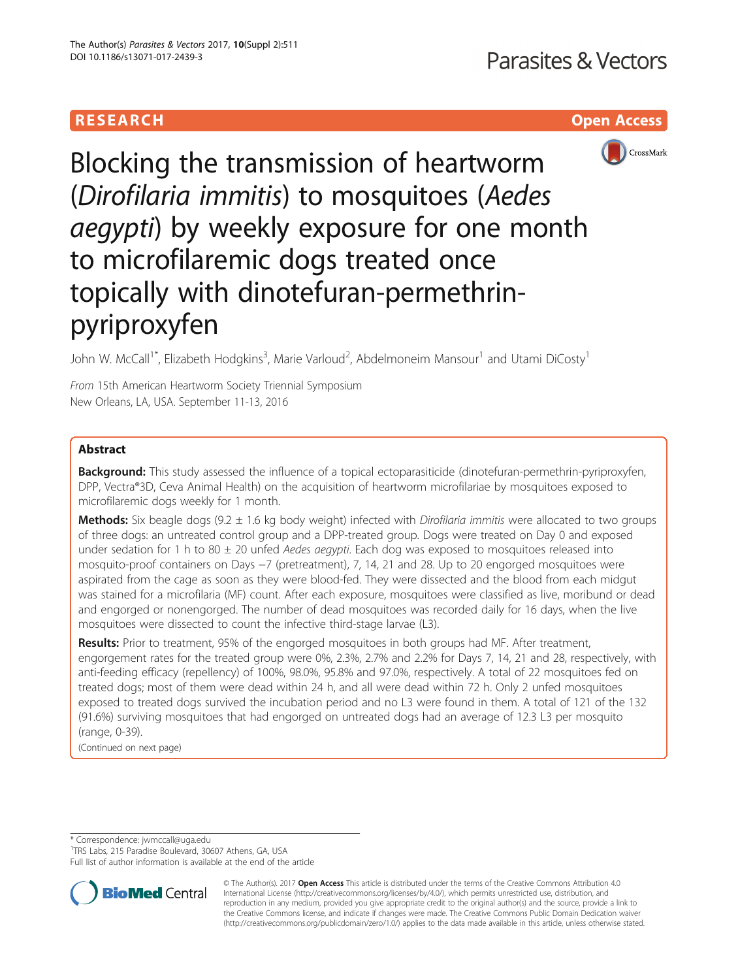# **RESEARCH CHILD CONTROL** CONTROL CONTROL CONTROL CONTROL CONTROL CONTROL CONTROL CONTROL CONTROL CONTROL CONTROL CONTROL CONTROL CONTROL CONTROL CONTROL CONTROL CONTROL CONTROL CONTROL CONTROL CONTROL CONTROL CONTROL CONTR



Blocking the transmission of heartworm (Dirofilaria immitis) to mosquitoes (Aedes aegypti) by weekly exposure for one month to microfilaremic dogs treated once topically with dinotefuran-permethrinpyriproxyfen

John W. McCall<sup>1\*</sup>, Elizabeth Hodgkins<sup>3</sup>, Marie Varloud<sup>2</sup>, Abdelmoneim Mansour<sup>1</sup> and Utami DiCosty<sup>1</sup>

From 15th American Heartworm Society Triennial Symposium New Orleans, LA, USA. September 11-13, 2016

# Abstract

Background: This study assessed the influence of a topical ectoparasiticide (dinotefuran-permethrin-pyriproxyfen, DPP, Vectra®3D, Ceva Animal Health) on the acquisition of heartworm microfilariae by mosquitoes exposed to microfilaremic dogs weekly for 1 month.

Methods: Six beagle dogs (9.2  $\pm$  1.6 kg body weight) infected with Dirofilaria immitis were allocated to two groups of three dogs: an untreated control group and a DPP-treated group. Dogs were treated on Day 0 and exposed under sedation for 1 h to  $80 \pm 20$  unfed Aedes aegypti. Each dog was exposed to mosquitoes released into mosquito-proof containers on Days −7 (pretreatment), 7, 14, 21 and 28. Up to 20 engorged mosquitoes were aspirated from the cage as soon as they were blood-fed. They were dissected and the blood from each midgut was stained for a microfilaria (MF) count. After each exposure, mosquitoes were classified as live, moribund or dead and engorged or nonengorged. The number of dead mosquitoes was recorded daily for 16 days, when the live mosquitoes were dissected to count the infective third-stage larvae (L3).

Results: Prior to treatment, 95% of the engorged mosquitoes in both groups had MF. After treatment, engorgement rates for the treated group were 0%, 2.3%, 2.7% and 2.2% for Days 7, 14, 21 and 28, respectively, with anti-feeding efficacy (repellency) of 100%, 98.0%, 95.8% and 97.0%, respectively. A total of 22 mosquitoes fed on treated dogs; most of them were dead within 24 h, and all were dead within 72 h. Only 2 unfed mosquitoes exposed to treated dogs survived the incubation period and no L3 were found in them. A total of 121 of the 132 (91.6%) surviving mosquitoes that had engorged on untreated dogs had an average of 12.3 L3 per mosquito (range, 0-39).

(Continued on next page)

\* Correspondence: [jwmccall@uga.edu](mailto:jwmccall@uga.edu) <sup>1</sup>

<sup>1</sup>TRS Labs, 215 Paradise Boulevard, 30607 Athens, GA, USA

Full list of author information is available at the end of the article



© The Author(s). 2017 **Open Access** This article is distributed under the terms of the Creative Commons Attribution 4.0 International License [\(http://creativecommons.org/licenses/by/4.0/](http://creativecommons.org/licenses/by/4.0/)), which permits unrestricted use, distribution, and reproduction in any medium, provided you give appropriate credit to the original author(s) and the source, provide a link to the Creative Commons license, and indicate if changes were made. The Creative Commons Public Domain Dedication waiver [\(http://creativecommons.org/publicdomain/zero/1.0/](http://creativecommons.org/publicdomain/zero/1.0/)) applies to the data made available in this article, unless otherwise stated.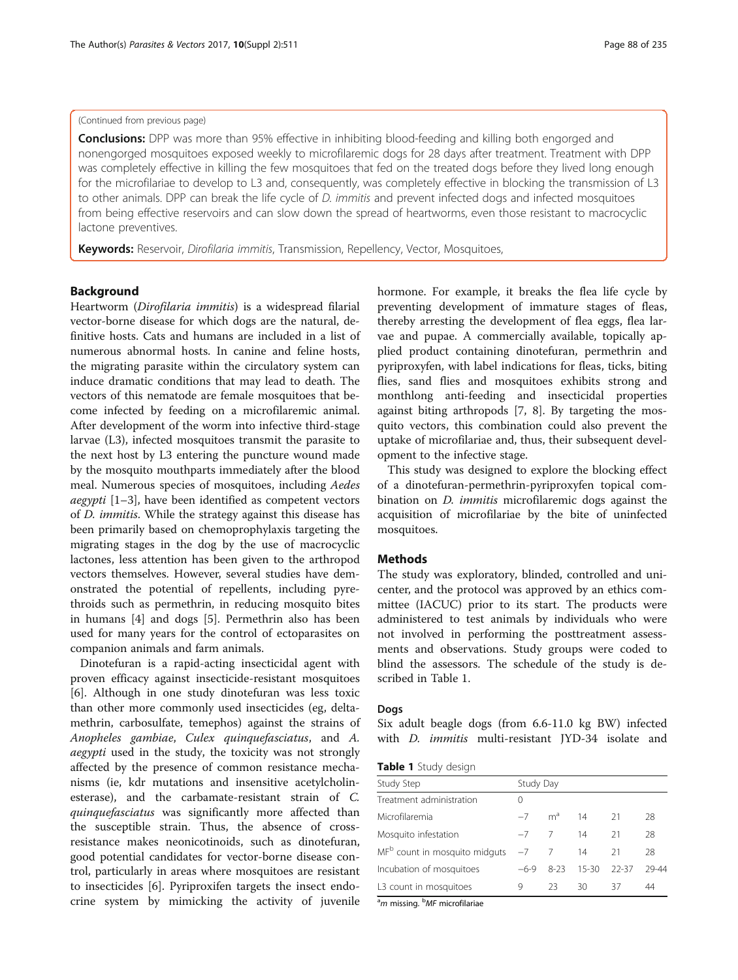### (Continued from previous page)

**Conclusions:** DPP was more than 95% effective in inhibiting blood-feeding and killing both engorged and nonengorged mosquitoes exposed weekly to microfilaremic dogs for 28 days after treatment. Treatment with DPP was completely effective in killing the few mosquitoes that fed on the treated dogs before they lived long enough for the microfilariae to develop to L3 and, consequently, was completely effective in blocking the transmission of L3 to other animals. DPP can break the life cycle of D. immitis and prevent infected dogs and infected mosquitoes from being effective reservoirs and can slow down the spread of heartworms, even those resistant to macrocyclic lactone preventives.

Keywords: Reservoir, Dirofilaria immitis, Transmission, Repellency, Vector, Mosquitoes,

# Background

Heartworm (Dirofilaria immitis) is a widespread filarial vector-borne disease for which dogs are the natural, definitive hosts. Cats and humans are included in a list of numerous abnormal hosts. In canine and feline hosts, the migrating parasite within the circulatory system can induce dramatic conditions that may lead to death. The vectors of this nematode are female mosquitoes that become infected by feeding on a microfilaremic animal. After development of the worm into infective third-stage larvae (L3), infected mosquitoes transmit the parasite to the next host by L3 entering the puncture wound made by the mosquito mouthparts immediately after the blood meal. Numerous species of mosquitoes, including Aedes aegypti [\[1](#page-7-0)–[3\]](#page-7-0), have been identified as competent vectors of D. immitis. While the strategy against this disease has been primarily based on chemoprophylaxis targeting the migrating stages in the dog by the use of macrocyclic lactones, less attention has been given to the arthropod vectors themselves. However, several studies have demonstrated the potential of repellents, including pyrethroids such as permethrin, in reducing mosquito bites in humans [\[4](#page-7-0)] and dogs [\[5](#page-7-0)]. Permethrin also has been used for many years for the control of ectoparasites on companion animals and farm animals.

Dinotefuran is a rapid-acting insecticidal agent with proven efficacy against insecticide-resistant mosquitoes [[6\]](#page-7-0). Although in one study dinotefuran was less toxic than other more commonly used insecticides (eg, deltamethrin, carbosulfate, temephos) against the strains of Anopheles gambiae, Culex quinquefasciatus, and A. aegypti used in the study, the toxicity was not strongly affected by the presence of common resistance mechanisms (ie, kdr mutations and insensitive acetylcholinesterase), and the carbamate-resistant strain of C. quinquefasciatus was significantly more affected than the susceptible strain. Thus, the absence of crossresistance makes neonicotinoids, such as dinotefuran, good potential candidates for vector-borne disease control, particularly in areas where mosquitoes are resistant to insecticides [[6\]](#page-7-0). Pyriproxifen targets the insect endocrine system by mimicking the activity of juvenile hormone. For example, it breaks the flea life cycle by preventing development of immature stages of fleas, thereby arresting the development of flea eggs, flea larvae and pupae. A commercially available, topically applied product containing dinotefuran, permethrin and pyriproxyfen, with label indications for fleas, ticks, biting flies, sand flies and mosquitoes exhibits strong and monthlong anti-feeding and insecticidal properties against biting arthropods [\[7](#page-7-0), [8\]](#page-7-0). By targeting the mosquito vectors, this combination could also prevent the uptake of microfilariae and, thus, their subsequent development to the infective stage.

This study was designed to explore the blocking effect of a dinotefuran-permethrin-pyriproxyfen topical combination on D. immitis microfilaremic dogs against the acquisition of microfilariae by the bite of uninfected mosquitoes.

# **Methods**

The study was exploratory, blinded, controlled and unicenter, and the protocol was approved by an ethics committee (IACUC) prior to its start. The products were administered to test animals by individuals who were not involved in performing the posttreatment assessments and observations. Study groups were coded to blind the assessors. The schedule of the study is described in Table 1.

## Dogs

Six adult beagle dogs (from 6.6-11.0 kg BW) infected with *D. immitis* multi-resistant JYD-34 isolate and

| Table 1 Study design |  |  |
|----------------------|--|--|
|----------------------|--|--|

| Study Step                                | Study Day        |                |         |       |       |
|-------------------------------------------|------------------|----------------|---------|-------|-------|
| Treatment administration                  | $\left( \right)$ |                |         |       |       |
| Microfilaremia                            | $-7$             | m <sup>a</sup> | 14      | 21    | 28    |
| Mosquito infestation                      | $-7$             | 7              | 14      | 21    | 28    |
| MF <sup>b</sup> count in mosquito midguts | $-7$             | -7             | 14      | 21    | 28    |
| Incubation of mosquitoes                  | $-6-9$           | $8-23$         | $15-30$ | 22-37 | 29-44 |
| L3 count in mosquitoes                    | 9                | 23             | 30      | 37    | 44    |

<sup>a</sup>m missing. <sup>b</sup>MF microfilariae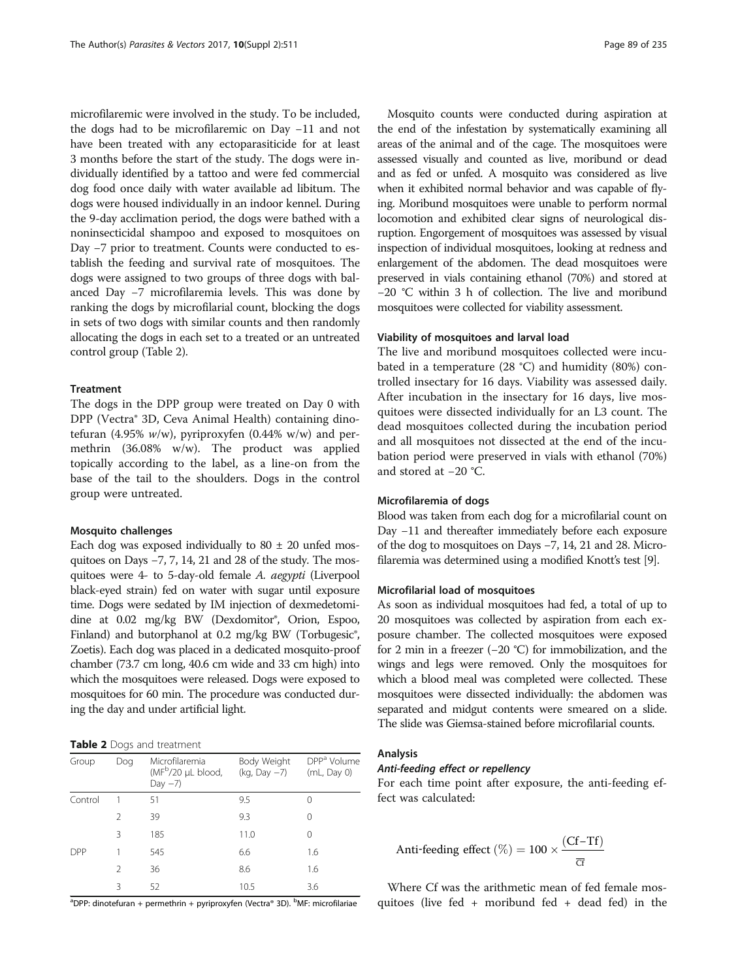microfilaremic were involved in the study. To be included, the dogs had to be microfilaremic on Day −11 and not have been treated with any ectoparasiticide for at least 3 months before the start of the study. The dogs were individually identified by a tattoo and were fed commercial dog food once daily with water available ad libitum. The dogs were housed individually in an indoor kennel. During the 9-day acclimation period, the dogs were bathed with a noninsecticidal shampoo and exposed to mosquitoes on Day −7 prior to treatment. Counts were conducted to establish the feeding and survival rate of mosquitoes. The dogs were assigned to two groups of three dogs with balanced Day −7 microfilaremia levels. This was done by ranking the dogs by microfilarial count, blocking the dogs in sets of two dogs with similar counts and then randomly allocating the dogs in each set to a treated or an untreated control group (Table 2).

### **Treatment**

The dogs in the DPP group were treated on Day 0 with DPP (Vectra® 3D, Ceva Animal Health) containing dinotefuran (4.95%  $w/w$ ), pyriproxyfen (0.44% w/w) and permethrin (36.08% w/w). The product was applied topically according to the label, as a line-on from the base of the tail to the shoulders. Dogs in the control group were untreated.

#### Mosquito challenges

Each dog was exposed individually to  $80 \pm 20$  unfed mosquitoes on Days −7, 7, 14, 21 and 28 of the study. The mosquitoes were 4- to 5-day-old female A. aegypti (Liverpool black-eyed strain) fed on water with sugar until exposure time. Dogs were sedated by IM injection of dexmedetomidine at 0.02 mg/kg BW (Dexdomitor®, Orion, Espoo, Finland) and butorphanol at 0.2 mg/kg BW (Torbugesic<sup>®</sup>, Zoetis). Each dog was placed in a dedicated mosquito-proof chamber (73.7 cm long, 40.6 cm wide and 33 cm high) into which the mosquitoes were released. Dogs were exposed to mosquitoes for 60 min. The procedure was conducted during the day and under artificial light.

#### Table 2 Dogs and treatment

| Group      | Dog            | Microfilaremia<br>(MF <sup>b</sup> /20 µL blood,<br>$Day -7)$ | Body Weight<br>$(kq, Day -7)$ | DPP <sup>a</sup> Volume<br>(mL, Day 0) |
|------------|----------------|---------------------------------------------------------------|-------------------------------|----------------------------------------|
| Control    |                | 51                                                            | 9.5                           | 0                                      |
|            | $\mathcal{P}$  | 39                                                            | 9.3                           | 0                                      |
|            | ζ              | 185                                                           | 11.0                          | 0                                      |
| <b>DPP</b> |                | 545                                                           | 6.6                           | 1.6                                    |
|            | $\mathfrak{D}$ | 36                                                            | 8.6                           | 1.6                                    |
|            | ζ              | 52                                                            | 10.5                          | 3.6                                    |

<sup>a</sup>DPP: dinotefuran + permethrin + pyriproxyfen (Vectra® 3D). <sup>b</sup>MF: microfilariae

Mosquito counts were conducted during aspiration at the end of the infestation by systematically examining all areas of the animal and of the cage. The mosquitoes were assessed visually and counted as live, moribund or dead and as fed or unfed. A mosquito was considered as live when it exhibited normal behavior and was capable of flying. Moribund mosquitoes were unable to perform normal locomotion and exhibited clear signs of neurological disruption. Engorgement of mosquitoes was assessed by visual inspection of individual mosquitoes, looking at redness and enlargement of the abdomen. The dead mosquitoes were preserved in vials containing ethanol (70%) and stored at −20 °C within 3 h of collection. The live and moribund mosquitoes were collected for viability assessment.

# Viability of mosquitoes and larval load

The live and moribund mosquitoes collected were incubated in a temperature (28 °C) and humidity (80%) controlled insectary for 16 days. Viability was assessed daily. After incubation in the insectary for 16 days, live mosquitoes were dissected individually for an L3 count. The dead mosquitoes collected during the incubation period and all mosquitoes not dissected at the end of the incubation period were preserved in vials with ethanol (70%) and stored at −20 °C.

# Microfilaremia of dogs

Blood was taken from each dog for a microfilarial count on Day −11 and thereafter immediately before each exposure of the dog to mosquitoes on Days −7, 14, 21 and 28. Microfilaremia was determined using a modified Knott's test [[9](#page-7-0)].

#### Microfilarial load of mosquitoes

As soon as individual mosquitoes had fed, a total of up to 20 mosquitoes was collected by aspiration from each exposure chamber. The collected mosquitoes were exposed for 2 min in a freezer (−20 °C) for immobilization, and the wings and legs were removed. Only the mosquitoes for which a blood meal was completed were collected. These mosquitoes were dissected individually: the abdomen was separated and midgut contents were smeared on a slide. The slide was Giemsa-stained before microfilarial counts.

### Analysis

### Anti-feeding effect or repellency

For each time point after exposure, the anti-feeding effect was calculated:

Anti-feeding effect (
$$
\% = 100 \times \frac{(Cf - Tf)}{\overline{c}f}
$$
)

Where Cf was the arithmetic mean of fed female mosquitoes (live fed + moribund fed + dead fed) in the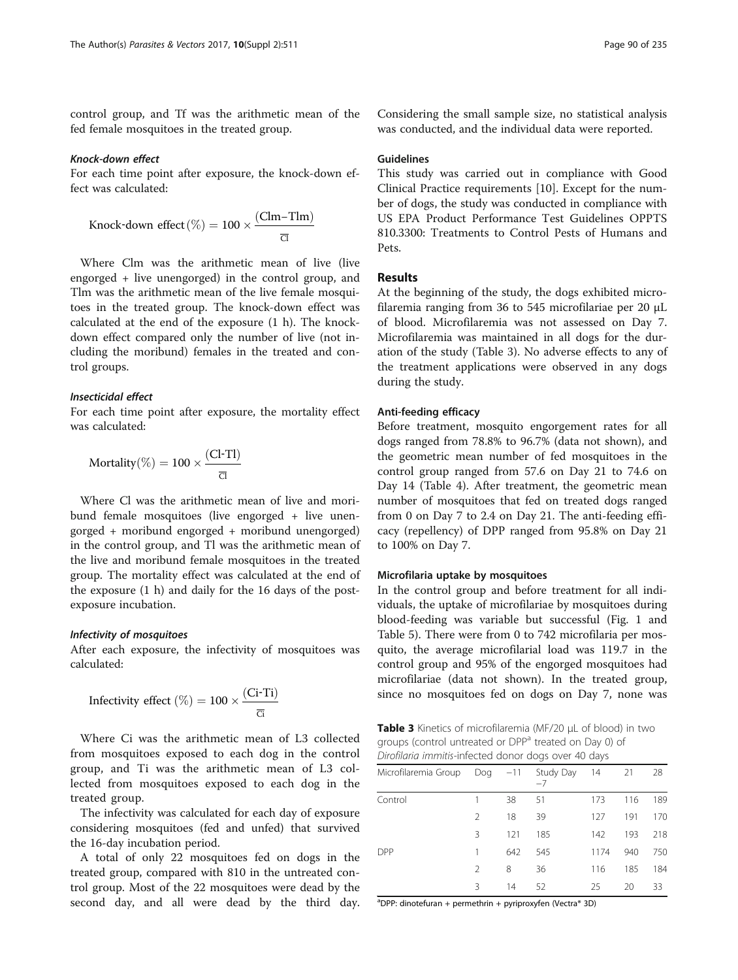control group, and Tf was the arithmetic mean of the fed female mosquitoes in the treated group.

#### Knock-down effect

For each time point after exposure, the knock-down effect was calculated:

Krock-down effect 
$$
(\%) = 100 \times \frac{(Clm - Tlm)}{\overline{c}}
$$

Where Clm was the arithmetic mean of live (live engorged + live unengorged) in the control group, and Tlm was the arithmetic mean of the live female mosquitoes in the treated group. The knock-down effect was calculated at the end of the exposure (1 h). The knockdown effect compared only the number of live (not including the moribund) females in the treated and control groups.

# Insecticidal effect

For each time point after exposure, the mortality effect was calculated:

$$
Mortality(\%) = 100 \times \frac{(Cl-TI)}{\overline{Cl}}
$$

Where Cl was the arithmetic mean of live and moribund female mosquitoes (live engorged + live unengorged + moribund engorged + moribund unengorged) in the control group, and Tl was the arithmetic mean of the live and moribund female mosquitoes in the treated group. The mortality effect was calculated at the end of the exposure (1 h) and daily for the 16 days of the postexposure incubation.

## Infectivity of mosquitoes

After each exposure, the infectivity of mosquitoes was calculated:

$$
Infectivity\ effect\ (\%) = 100 \times \frac{(Ci-Ti)}{\overline{c_i}}
$$

Where Ci was the arithmetic mean of L3 collected from mosquitoes exposed to each dog in the control group, and Ti was the arithmetic mean of L3 collected from mosquitoes exposed to each dog in the treated group.

The infectivity was calculated for each day of exposure considering mosquitoes (fed and unfed) that survived the 16-day incubation period.

A total of only 22 mosquitoes fed on dogs in the treated group, compared with 810 in the untreated control group. Most of the 22 mosquitoes were dead by the second day, and all were dead by the third day.

Considering the small sample size, no statistical analysis was conducted, and the individual data were reported.

#### Guidelines

This study was carried out in compliance with Good Clinical Practice requirements [[10\]](#page-7-0). Except for the number of dogs, the study was conducted in compliance with US EPA Product Performance Test Guidelines OPPTS 810.3300: Treatments to Control Pests of Humans and Pets.

# Results

At the beginning of the study, the dogs exhibited microfilaremia ranging from 36 to 545 microfilariae per 20 μL of blood. Microfilaremia was not assessed on Day 7. Microfilaremia was maintained in all dogs for the duration of the study (Table 3). No adverse effects to any of the treatment applications were observed in any dogs during the study.

# Anti-feeding efficacy

Before treatment, mosquito engorgement rates for all dogs ranged from 78.8% to 96.7% (data not shown), and the geometric mean number of fed mosquitoes in the control group ranged from 57.6 on Day 21 to 74.6 on Day 14 (Table [4](#page-4-0)). After treatment, the geometric mean number of mosquitoes that fed on treated dogs ranged from 0 on Day 7 to 2.4 on Day 21. The anti-feeding efficacy (repellency) of DPP ranged from 95.8% on Day 21 to 100% on Day 7.

# Microfilaria uptake by mosquitoes

In the control group and before treatment for all individuals, the uptake of microfilariae by mosquitoes during blood-feeding was variable but successful (Fig. [1](#page-4-0) and Table [5\)](#page-5-0). There were from 0 to 742 microfilaria per mosquito, the average microfilarial load was 119.7 in the control group and 95% of the engorged mosquitoes had microfilariae (data not shown). In the treated group, since no mosquitoes fed on dogs on Day 7, none was

Table 3 Kinetics of microfilaremia (MF/20 μL of blood) in two groups (control untreated or DPP<sup>a</sup> treated on Day 0) of Dirofilaria immitis-infected donor dogs over 40 days

| <i>Differential infinitio</i> intected donor dogs over to days |               |     |                   |      |     |     |  |  |  |  |
|----------------------------------------------------------------|---------------|-----|-------------------|------|-----|-----|--|--|--|--|
| Microfilaremia Group                                           | $Doq = 11$    |     | Study Day<br>$-7$ | 14   | 21  | 28  |  |  |  |  |
| Control                                                        |               | 38  | 51                | 173  | 116 | 189 |  |  |  |  |
|                                                                | 2             | 18  | 39                | 127  | 191 | 170 |  |  |  |  |
|                                                                | 3             | 121 | 185               | 142  | 193 | 218 |  |  |  |  |
| <b>DPP</b>                                                     |               | 642 | 545               | 1174 | 940 | 750 |  |  |  |  |
|                                                                | $\mathcal{L}$ | 8   | 36                | 116  | 185 | 184 |  |  |  |  |
|                                                                | 3             | 14  | 52                | 25   | 20  | 33  |  |  |  |  |
|                                                                |               |     |                   |      |     |     |  |  |  |  |

a DPP: dinotefuran + permethrin + pyriproxyfen (Vectra® 3D)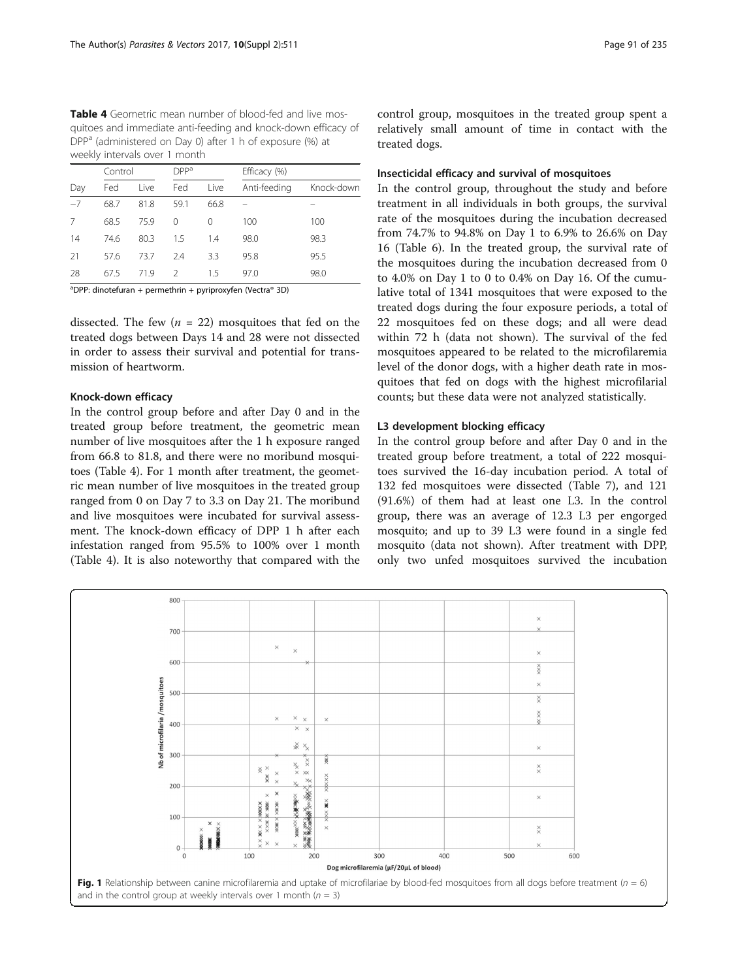<span id="page-4-0"></span>Table 4 Geometric mean number of blood-fed and live mosquitoes and immediate anti-feeding and knock-down efficacy of DPP<sup>a</sup> (administered on Day 0) after 1 h of exposure (%) at weekly intervals over 1 month

|      | Control |      | DPP <sup>a</sup> |      | Efficacy (%) |            |  |  |
|------|---------|------|------------------|------|--------------|------------|--|--|
| Day  | Fed     | Live | Fed              | Live | Anti-feeding | Knock-down |  |  |
| $-7$ | 68.7    | 81.8 | 59.1             | 66.8 |              |            |  |  |
| 7    | 68.5    | 75.9 | 0                | 0    | 100          | 100        |  |  |
| 14   | 74.6    | 80.3 | 1.5              | 1.4  | 98.0         | 98.3       |  |  |
| 21   | 57.6    | 73.7 | 2.4              | 3.3  | 95.8         | 95.5       |  |  |
| 28   | 675     | 719  | $\mathcal{P}$    | 1.5  | 97.0         | 98.0       |  |  |
|      |         |      |                  |      |              |            |  |  |

a DPP: dinotefuran + permethrin + pyriproxyfen (Vectra® 3D)

dissected. The few  $(n = 22)$  mosquitoes that fed on the treated dogs between Days 14 and 28 were not dissected in order to assess their survival and potential for transmission of heartworm.

#### Knock-down efficacy

In the control group before and after Day 0 and in the treated group before treatment, the geometric mean number of live mosquitoes after the 1 h exposure ranged from 66.8 to 81.8, and there were no moribund mosquitoes (Table 4). For 1 month after treatment, the geometric mean number of live mosquitoes in the treated group ranged from 0 on Day 7 to 3.3 on Day 21. The moribund and live mosquitoes were incubated for survival assessment. The knock-down efficacy of DPP 1 h after each infestation ranged from 95.5% to 100% over 1 month (Table 4). It is also noteworthy that compared with the control group, mosquitoes in the treated group spent a relatively small amount of time in contact with the treated dogs.

### Insecticidal efficacy and survival of mosquitoes

In the control group, throughout the study and before treatment in all individuals in both groups, the survival rate of the mosquitoes during the incubation decreased from 74.7% to 94.8% on Day 1 to 6.9% to 26.6% on Day 16 (Table [6\)](#page-5-0). In the treated group, the survival rate of the mosquitoes during the incubation decreased from 0 to 4.0% on Day 1 to 0 to 0.4% on Day 16. Of the cumulative total of 1341 mosquitoes that were exposed to the treated dogs during the four exposure periods, a total of 22 mosquitoes fed on these dogs; and all were dead within 72 h (data not shown). The survival of the fed mosquitoes appeared to be related to the microfilaremia level of the donor dogs, with a higher death rate in mosquitoes that fed on dogs with the highest microfilarial counts; but these data were not analyzed statistically.

#### L3 development blocking efficacy

In the control group before and after Day 0 and in the treated group before treatment, a total of 222 mosquitoes survived the 16-day incubation period. A total of 132 fed mosquitoes were dissected (Table [7\)](#page-6-0), and 121 (91.6%) of them had at least one L3. In the control group, there was an average of 12.3 L3 per engorged mosquito; and up to 39 L3 were found in a single fed mosquito (data not shown). After treatment with DPP, only two unfed mosquitoes survived the incubation

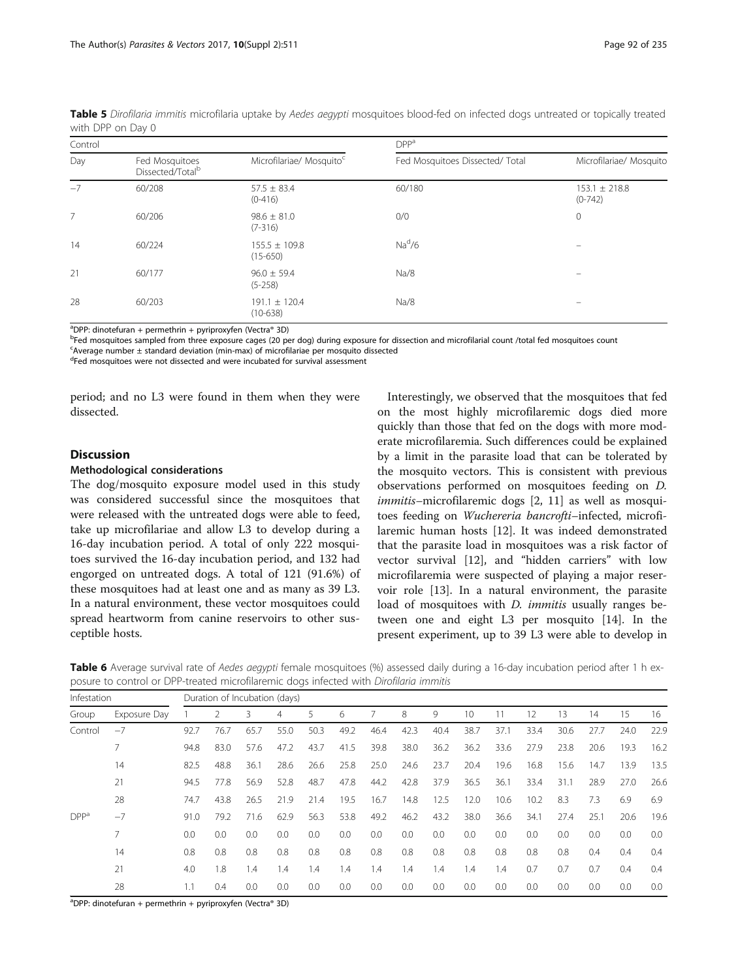| Control |                                                |                                      | DPP <sup>a</sup>               |                                |  |  |  |
|---------|------------------------------------------------|--------------------------------------|--------------------------------|--------------------------------|--|--|--|
| Day     | Fed Mosquitoes<br>Dissected/Total <sup>b</sup> | Microfilariae/ Mosquito <sup>c</sup> | Fed Mosquitoes Dissected/Total | Microfilariae/ Mosquito        |  |  |  |
| $-7$    | 60/208                                         | $57.5 \pm 83.4$<br>$(0-416)$         | 60/180                         | $153.1 \pm 218.8$<br>$(0-742)$ |  |  |  |
| 7       | 60/206                                         | $98.6 \pm 81.0$<br>$(7-316)$         | 0/0                            | $\mathbf{0}$                   |  |  |  |
| 14      | 60/224                                         | $155.5 \pm 109.8$<br>$(15 - 650)$    | Na <sup>d</sup> /6             |                                |  |  |  |
| 21      | 60/177                                         | $96.0 \pm 59.4$<br>$(5-258)$         | Na/8                           |                                |  |  |  |
| 28      | 60/203                                         | $191.1 \pm 120.4$<br>$(10-638)$      | Na/8                           |                                |  |  |  |

<span id="page-5-0"></span>Table 5 Dirofilaria immitis microfilaria uptake by Aedes aegypti mosquitoes blood-fed on infected dogs untreated or topically treated with DPP on Day 0

a DPP: dinotefuran + permethrin + pyriproxyfen (Vectra® 3D)

b<br>Ped mosquitoes sampled from three exposure cages (20 per dog) during exposure for dissection and microfilarial count /total fed mosquitoes count

c Average number ± standard deviation (min-max) of microfilariae per mosquito dissected

<sup>d</sup>Fed mosquitoes were not dissected and were incubated for survival assessment

period; and no L3 were found in them when they were dissected.

# **Discussion**

#### Methodological considerations

The dog/mosquito exposure model used in this study was considered successful since the mosquitoes that were released with the untreated dogs were able to feed, take up microfilariae and allow L3 to develop during a 16-day incubation period. A total of only 222 mosquitoes survived the 16-day incubation period, and 132 had engorged on untreated dogs. A total of 121 (91.6%) of these mosquitoes had at least one and as many as 39 L3. In a natural environment, these vector mosquitoes could spread heartworm from canine reservoirs to other susceptible hosts.

Interestingly, we observed that the mosquitoes that fed on the most highly microfilaremic dogs died more quickly than those that fed on the dogs with more moderate microfilaremia. Such differences could be explained by a limit in the parasite load that can be tolerated by the mosquito vectors. This is consistent with previous observations performed on mosquitoes feeding on D. immitis–microfilaremic dogs [\[2, 11](#page-7-0)] as well as mosquitoes feeding on Wuchereria bancrofti–infected, microfilaremic human hosts [\[12\]](#page-7-0). It was indeed demonstrated that the parasite load in mosquitoes was a risk factor of vector survival [[12\]](#page-7-0), and "hidden carriers" with low microfilaremia were suspected of playing a major reservoir role [\[13\]](#page-7-0). In a natural environment, the parasite load of mosquitoes with *D. immitis* usually ranges between one and eight L3 per mosquito [\[14\]](#page-7-0). In the present experiment, up to 39 L3 were able to develop in

Table 6 Average survival rate of Aedes aegypti female mosquitoes (%) assessed daily during a 16-day incubation period after 1 h exposure to control or DPP-treated microfilaremic dogs infected with Dirofilaria immitis

| Infestation      |              |      | Duration of Incubation (days) |      |      |      |      |      |      |      |      |      |      |      |      |      |      |
|------------------|--------------|------|-------------------------------|------|------|------|------|------|------|------|------|------|------|------|------|------|------|
| Group            | Exposure Day |      |                               | 3    | 4    | 5.   | 6    |      | 8    | 9    | 10   | 11   | 12   | 13   | 14   | 15   | 16   |
| Control          | $-7$         | 92.7 | 76.7                          | 65.7 | 55.0 | 50.3 | 49.2 | 46.4 | 42.3 | 40.4 | 38.7 | 37.1 | 33.4 | 30.6 | 27.7 | 24.0 | 22.9 |
|                  |              | 94.8 | 83.0                          | 57.6 | 47.2 | 43.7 | 41.5 | 39.8 | 38.0 | 36.2 | 36.2 | 33.6 | 27.9 | 23.8 | 20.6 | 19.3 | 16.2 |
|                  | 14           | 82.5 | 48.8                          | 36.1 | 28.6 | 26.6 | 25.8 | 25.0 | 24.6 | 23.7 | 20.4 | 19.6 | 16.8 | 15.6 | 14.7 | 13.9 | 13.5 |
|                  | 21           | 94.5 | 77.8                          | 56.9 | 52.8 | 48.7 | 47.8 | 44.2 | 42.8 | 37.9 | 36.5 | 36.1 | 33.4 | 31.1 | 28.9 | 27.0 | 26.6 |
|                  | 28           | 74.7 | 43.8                          | 26.5 | 21.9 | 21.4 | 19.5 | 16.7 | 14.8 | 12.5 | 12.0 | 10.6 | 10.2 | 8.3  | 7.3  | 6.9  | 6.9  |
| DPP <sup>a</sup> | $-7$         | 91.0 | 79.2                          | 71.6 | 62.9 | 56.3 | 53.8 | 49.2 | 46.2 | 43.2 | 38.0 | 36.6 | 34.1 | 27.4 | 25.1 | 20.6 | 19.6 |
|                  |              | 0.0  | 0.0                           | 0.0  | 0.0  | 0.0  | 0.0  | 0.0  | 0.0  | 0.0  | 0.0  | 0.0  | 0.0  | 0.0  | 0.0  | 0.0  | 0.0  |
|                  | 14           | 0.8  | 0.8                           | 0.8  | 0.8  | 0.8  | 0.8  | 0.8  | 0.8  | 0.8  | 0.8  | 0.8  | 0.8  | 0.8  | 0.4  | 0.4  | 0.4  |
|                  | 21           | 4.0  | 1.8                           | 1.4  | 1.4  | 1.4  | 1.4  | 1.4  | 1.4  | 1.4  | 1.4  | 1.4  | 0.7  | 0.7  | 0.7  | 0.4  | 0.4  |
|                  | 28           | 1.1  | 0.4                           | 0.0  | 0.0  | 0.0  | 0.0  | 0.0  | 0.0  | 0.0  | 0.0  | 0.0  | 0.0  | 0.0  | 0.0  | 0.0  | 0.0  |

a DPP: dinotefuran + permethrin + pyriproxyfen (Vectra® 3D)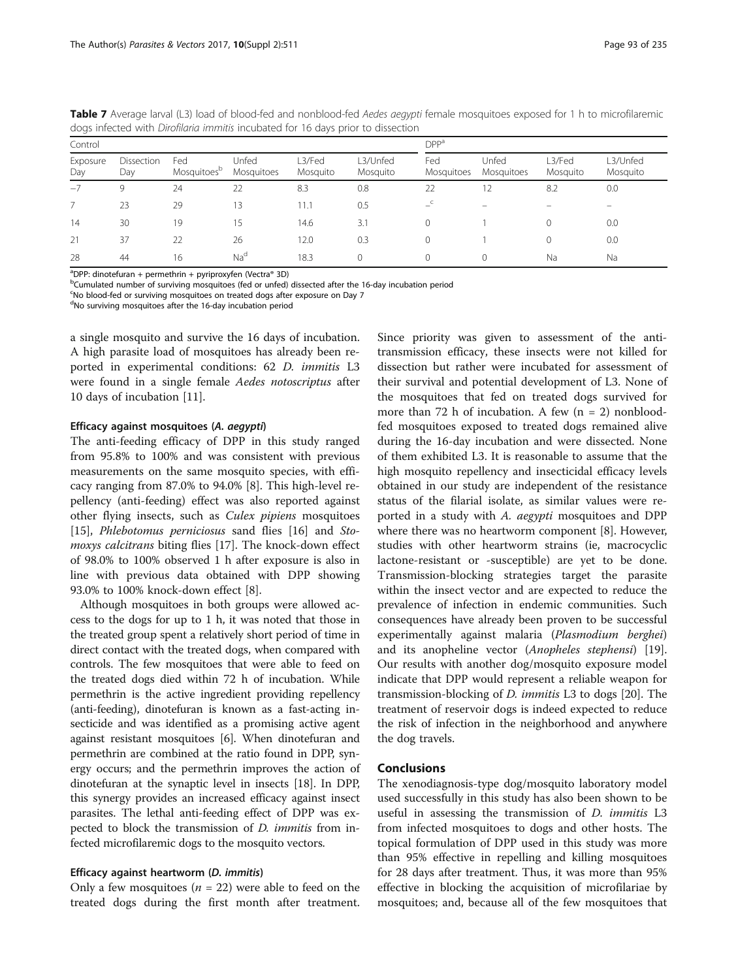| Control         |                   |                                |                     |                    | DPP <sup>a</sup>     |                   |                     |                    |                      |
|-----------------|-------------------|--------------------------------|---------------------|--------------------|----------------------|-------------------|---------------------|--------------------|----------------------|
| Exposure<br>Day | Dissection<br>Day | Fed<br>Mosquitoes <sup>b</sup> | Unfed<br>Mosquitoes | L3/Fed<br>Mosquito | L3/Unfed<br>Mosquito | Fed<br>Mosquitoes | Unfed<br>Mosquitoes | L3/Fed<br>Mosquito | L3/Unfed<br>Mosquito |
| $-7$            | 9                 | 24                             | 22                  | 8.3                | 0.8                  | 22                | 12                  | 8.2                | 0.0                  |
|                 | 23                | 29                             | 13                  | 11.1               | 0.5                  | $-$               |                     |                    |                      |
| 14              | 30                | 19                             | 15                  | 14.6               | 3.1                  | $\Omega$          |                     | $\Omega$           | 0.0                  |
| 21              | 37                | 22                             | 26                  | 12.0               | 0.3                  | $\Omega$          |                     | $\Omega$           | 0.0                  |
| 28              | 44                | 16                             | Na <sup>d</sup>     | 18.3               | $\Omega$             | $\Omega$          |                     | Na                 | Na                   |

<span id="page-6-0"></span>Table 7 Average larval (L3) load of blood-fed and nonblood-fed Aedes aegypti female mosquitoes exposed for 1 h to microfilaremic dogs infected with Dirofilaria immitis incubated for 16 days prior to dissection

a DPP: dinotefuran + permethrin + pyriproxyfen (Vectra® 3D)

<sup>b</sup>Cumulated number of surviving mosquitoes (fed or unfed) dissected after the 16-day incubation period

<sup>c</sup>No blood-fed or surviving mosquitoes on treated dogs after exposure on Day 7

d No surviving mosquitoes after the 16-day incubation period

a single mosquito and survive the 16 days of incubation. A high parasite load of mosquitoes has already been reported in experimental conditions: 62 D. immitis L3 were found in a single female Aedes notoscriptus after 10 days of incubation [[11](#page-7-0)].

#### Efficacy against mosquitoes (A. aegypti)

The anti-feeding efficacy of DPP in this study ranged from 95.8% to 100% and was consistent with previous measurements on the same mosquito species, with efficacy ranging from 87.0% to 94.0% [[8\]](#page-7-0). This high-level repellency (anti-feeding) effect was also reported against other flying insects, such as Culex pipiens mosquitoes [[15\]](#page-7-0), *Phlebotomus perniciosus* sand flies [[16\]](#page-7-0) and *Sto*moxys calcitrans biting flies [[17\]](#page-7-0). The knock-down effect of 98.0% to 100% observed 1 h after exposure is also in line with previous data obtained with DPP showing 93.0% to 100% knock-down effect [\[8\]](#page-7-0).

Although mosquitoes in both groups were allowed access to the dogs for up to 1 h, it was noted that those in the treated group spent a relatively short period of time in direct contact with the treated dogs, when compared with controls. The few mosquitoes that were able to feed on the treated dogs died within 72 h of incubation. While permethrin is the active ingredient providing repellency (anti-feeding), dinotefuran is known as a fast-acting insecticide and was identified as a promising active agent against resistant mosquitoes [[6](#page-7-0)]. When dinotefuran and permethrin are combined at the ratio found in DPP, synergy occurs; and the permethrin improves the action of dinotefuran at the synaptic level in insects [\[18\]](#page-7-0). In DPP, this synergy provides an increased efficacy against insect parasites. The lethal anti-feeding effect of DPP was expected to block the transmission of D. immitis from infected microfilaremic dogs to the mosquito vectors.

### Efficacy against heartworm (D. immitis)

Only a few mosquitoes  $(n = 22)$  were able to feed on the treated dogs during the first month after treatment. Since priority was given to assessment of the antitransmission efficacy, these insects were not killed for dissection but rather were incubated for assessment of their survival and potential development of L3. None of the mosquitoes that fed on treated dogs survived for more than 72 h of incubation. A few  $(n = 2)$  nonbloodfed mosquitoes exposed to treated dogs remained alive during the 16-day incubation and were dissected. None of them exhibited L3. It is reasonable to assume that the high mosquito repellency and insecticidal efficacy levels obtained in our study are independent of the resistance status of the filarial isolate, as similar values were reported in a study with A. aegypti mosquitoes and DPP where there was no heartworm component [[8](#page-7-0)]. However, studies with other heartworm strains (ie, macrocyclic lactone-resistant or -susceptible) are yet to be done. Transmission-blocking strategies target the parasite within the insect vector and are expected to reduce the prevalence of infection in endemic communities. Such consequences have already been proven to be successful experimentally against malaria (Plasmodium berghei) and its anopheline vector (Anopheles stephensi) [\[19](#page-8-0)]. Our results with another dog/mosquito exposure model indicate that DPP would represent a reliable weapon for transmission-blocking of D. immitis L3 to dogs [\[20](#page-8-0)]. The treatment of reservoir dogs is indeed expected to reduce the risk of infection in the neighborhood and anywhere the dog travels.

# Conclusions

The xenodiagnosis-type dog/mosquito laboratory model used successfully in this study has also been shown to be useful in assessing the transmission of D. immitis L3 from infected mosquitoes to dogs and other hosts. The topical formulation of DPP used in this study was more than 95% effective in repelling and killing mosquitoes for 28 days after treatment. Thus, it was more than 95% effective in blocking the acquisition of microfilariae by mosquitoes; and, because all of the few mosquitoes that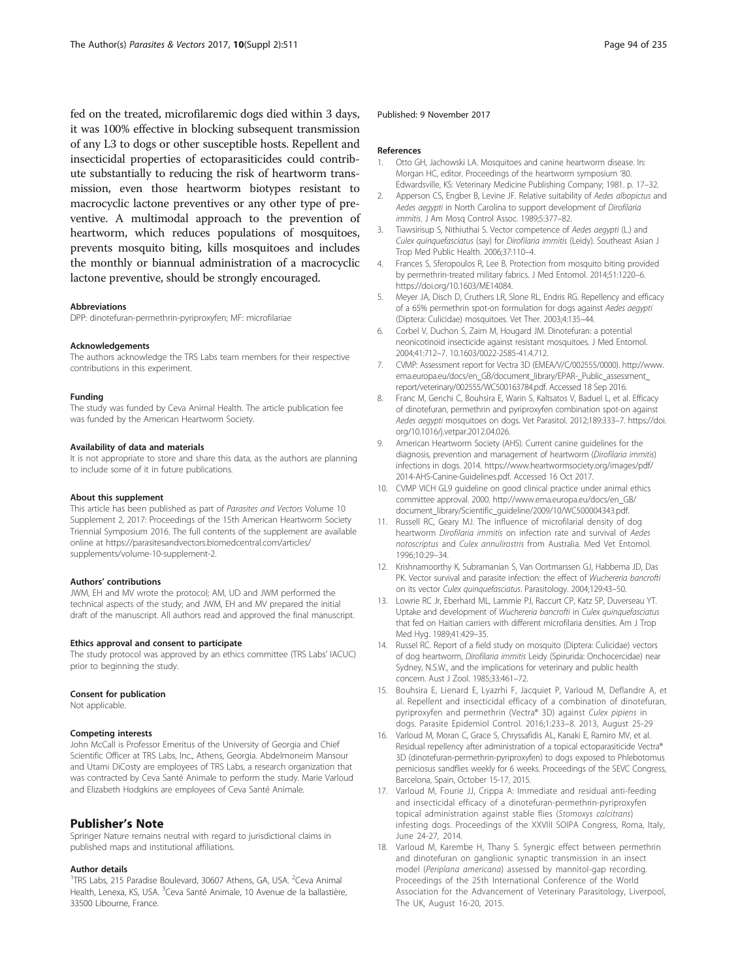<span id="page-7-0"></span>fed on the treated, microfilaremic dogs died within 3 days, it was 100% effective in blocking subsequent transmission of any L3 to dogs or other susceptible hosts. Repellent and insecticidal properties of ectoparasiticides could contribute substantially to reducing the risk of heartworm transmission, even those heartworm biotypes resistant to macrocyclic lactone preventives or any other type of preventive. A multimodal approach to the prevention of heartworm, which reduces populations of mosquitoes, prevents mosquito biting, kills mosquitoes and includes the monthly or biannual administration of a macrocyclic lactone preventive, should be strongly encouraged.

#### Abbreviations

DPP: dinotefuran-permethrin-pyriproxyfen; MF: microfilariae

#### Acknowledgements

The authors acknowledge the TRS Labs team members for their respective contributions in this experiment.

#### Funding

The study was funded by Ceva Animal Health. The article publication fee was funded by the American Heartworm Society.

#### Availability of data and materials

It is not appropriate to store and share this data, as the authors are planning to include some of it in future publications.

#### About this supplement

This article has been published as part of Parasites and Vectors Volume 10 Supplement 2, 2017: Proceedings of the 15th American Heartworm Society Triennial Symposium 2016. The full contents of the supplement are available online at https://parasitesandvectors.biomedcentral.com/articles/ supplements/volume-10-supplement-2.

#### Authors' contributions

JWM, EH and MV wrote the protocol; AM, UD and JWM performed the technical aspects of the study; and JWM, EH and MV prepared the initial draft of the manuscript. All authors read and approved the final manuscript.

#### Ethics approval and consent to participate

The study protocol was approved by an ethics committee (TRS Labs' IACUC) prior to beginning the study.

#### Consent for publication

Not applicable.

#### Competing interests

John McCall is Professor Emeritus of the University of Georgia and Chief Scientific Officer at TRS Labs, Inc., Athens, Georgia. Abdelmoneim Mansour and Utami DiCosty are employees of TRS Labs, a research organization that was contracted by Ceva Santé Animale to perform the study. Marie Varloud and Elizabeth Hodgkins are employees of Ceva Santé Animale.

## Publisher's Note

Springer Nature remains neutral with regard to jurisdictional claims in published maps and institutional affiliations.

#### Author details

<sup>1</sup>TRS Labs, 215 Paradise Boulevard, 30607 Athens, GA, USA. <sup>2</sup>Ceva Animal Health, Lenexa, KS, USA. <sup>3</sup>Ceva Santé Animale, 10 Avenue de la ballastière, 33500 Libourne, France.

#### Published: 9 November 2017

#### References

- 1. Otto GH, Jachowski LA. Mosquitoes and canine heartworm disease. In: Morgan HC, editor. Proceedings of the heartworm symposium '80. Edwardsville, KS: Veterinary Medicine Publishing Company; 1981. p. 17–32.
- 2. Apperson CS, Engber B, Levine JF. Relative suitability of Aedes albopictus and Aedes aegypti in North Carolina to support development of Dirofilaria immitis. J Am Mosq Control Assoc. 1989;5:377–82.
- 3. Tiawsirisup S, Nithiuthai S. Vector competence of Aedes aegypti (L.) and Culex quinquefasciatus (say) for Dirofilaria immitis (Leidy). Southeast Asian J Trop Med Public Health. 2006;37:110–4.
- 4. Frances S, Sferopoulos R, Lee B. Protection from mosquito biting provided by permethrin-treated military fabrics. J Med Entomol. 2014;51:1220–6. [https://doi.org/10.1603/ME14084.](http://dx.doi.org/10.1603/ME14084)
- Meyer JA, Disch D, Cruthers LR, Slone RL, Endris RG. Repellency and efficacy of a 65% permethrin spot-on formulation for dogs against Aedes aegypti (Diptera: Culicidae) mosquitoes. Vet Ther. 2003;4:135–44.
- 6. Corbel V, Duchon S, Zaim M, Hougard JM. Dinotefuran: a potential neonicotinoid insecticide against resistant mosquitoes. J Med Entomol. 2004;41:712–7. [10.1603/0022-2585-41.4.712.](http://dx.doi.org/10.1603/0022-2585-41.4.712)
- 7. CVMP: Assessment report for Vectra 3D (EMEA/V/C/002555/0000). [http://www.](http://www.ema.europa.eu/docs/en_GB/document_library/EPAR-_Public_assessment_report/veterinary/002555/WC500163784.pdf) ema.europa.eu/docs/en\_GB/document\_library/EPAR-\_Public\_assessment [report/veterinary/002555/WC500163784.pdf](http://www.ema.europa.eu/docs/en_GB/document_library/EPAR-_Public_assessment_report/veterinary/002555/WC500163784.pdf). Accessed 18 Sep 2016.
- Franc M, Genchi C, Bouhsira E, Warin S, Kaltsatos V, Baduel L, et al. Efficacy of dinotefuran, permethrin and pyriproxyfen combination spot-on against Aedes aegypti mosquitoes on dogs. Vet Parasitol. 2012;189:333–7. [https://doi.](http://dx.doi.org/10.1016/j.vetpar.2012.04.026) [org/10.1016/j.vetpar.2012.04.026.](http://dx.doi.org/10.1016/j.vetpar.2012.04.026)
- 9. American Heartworm Society (AHS). Current canine guidelines for the diagnosis, prevention and management of heartworm (Dirofilaria immitis) infections in dogs. 2014. [https://www.heartwormsociety.org/images/pdf/](https://www.heartwormsociety.org/images/pdf/2014-AHS-Canine-Guidelines.pdf) [2014-AHS-Canine-Guidelines.pdf](https://www.heartwormsociety.org/images/pdf/2014-AHS-Canine-Guidelines.pdf). Accessed 16 Oct 2017.
- 10. CVMP VICH GL9 guideline on good clinical practice under animal ethics committee approval. 2000. [http://www.ema.europa.eu/docs/en\\_GB/](http://www.ema.europa.eu/docs/en_GB/document_library/Scientific_guideline/2009/10/WC500004343.pdf) [document\\_library/Scientific\\_guideline/2009/10/WC500004343.pdf.](http://www.ema.europa.eu/docs/en_GB/document_library/Scientific_guideline/2009/10/WC500004343.pdf)
- 11. Russell RC, Geary MJ. The influence of microfilarial density of dog heartworm Dirofilaria immitis on infection rate and survival of Aedes notoscriptus and Culex annulirostris from Australia. Med Vet Entomol. 1996;10:29–34.
- 12. Krishnamoorthy K, Subramanian S, Van Oortmarssen GJ, Habbema JD, Das PK. Vector survival and parasite infection: the effect of Wuchereria bancrofti on its vector Culex quinquefasciatus. Parasitology. 2004;129:43–50.
- 13. Lowrie RC Jr, Eberhard ML, Lammie PJ, Raccurt CP, Katz SP, Duverseau YT. Uptake and development of Wuchereria bancrofti in Culex quinquefasciatus that fed on Haitian carriers with different microfilaria densities. Am J Trop Med Hyg. 1989;41:429–35.
- 14. Russel RC. Report of a field study on mosquito (Diptera: Culicidae) vectors of dog heartworm, Dirofilaria immitis Leidy (Spirurida: Onchocercidae) near Sydney, N.S.W., and the implications for veterinary and public health concern. Aust J Zool. 1985;33:461–72.
- 15. Bouhsira E, Lienard E, Lyazrhi F, Jacquiet P, Varloud M, Deflandre A, et al. Repellent and insecticidal efficacy of a combination of dinotefuran, pyriproxyfen and permethrin (Vectra® 3D) against Culex pipiens in dogs. Parasite Epidemiol Control. 2016;1:233–8. 2013, August 25-29
- 16. Varloud M, Moran C, Grace S, Chryssafidis AL, Kanaki E, Ramiro MV, et al. Residual repellency after administration of a topical ectoparasiticide Vectra® 3D (dinotefuran-permethrin-pyriproxyfen) to dogs exposed to Phlebotomus perniciosus sandflies weekly for 6 weeks. Proceedings of the SEVC Congress, Barcelona, Spain, October 15-17, 2015.
- 17. Varloud M, Fourie JJ, Crippa A: Immediate and residual anti-feeding and insecticidal efficacy of a dinotefuran-permethrin-pyriproxyfen topical administration against stable flies (Stomoxys calcitrans) infesting dogs. Proceedings of the XXVIII SOIPA Congress, Roma, Italy, June 24-27, 2014.
- 18. Varloud M, Karembe H, Thany S. Synergic effect between permethrin and dinotefuran on ganglionic synaptic transmission in an insect model (Periplana americana) assessed by mannitol-gap recording. Proceedings of the 25th International Conference of the World Association for the Advancement of Veterinary Parasitology, Liverpool, The UK, August 16-20, 2015.